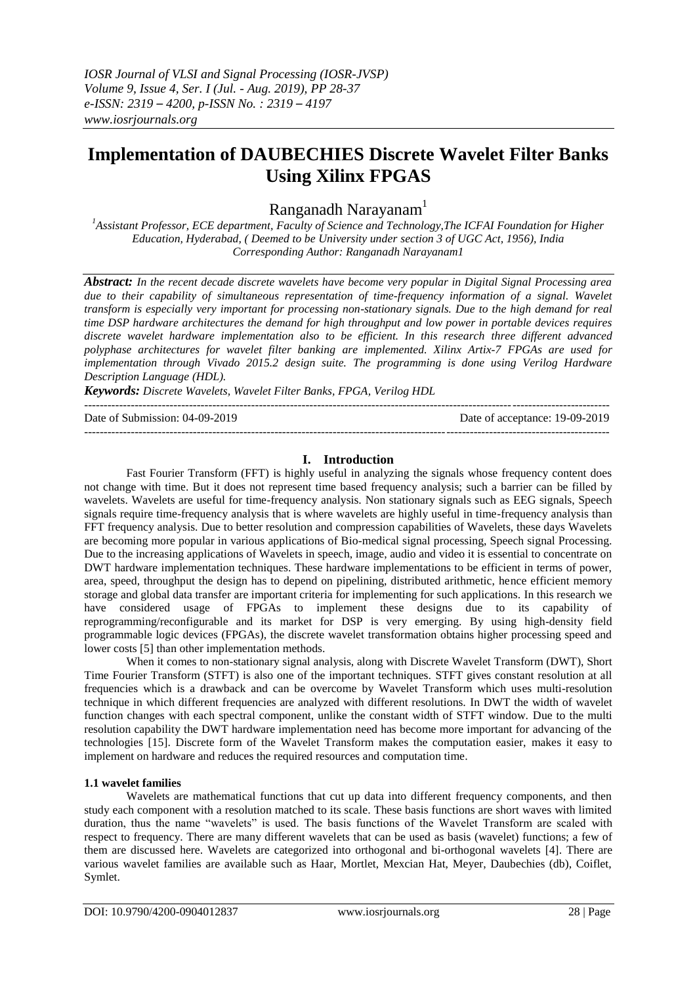# **Implementation of DAUBECHIES Discrete Wavelet Filter Banks Using Xilinx FPGAS**

Ranganadh Narayanam<sup>1</sup>

*<sup>1</sup>Assistant Professor, ECE department, Faculty of Science and Technology,The ICFAI Foundation for Higher Education, Hyderabad, ( Deemed to be University under section 3 of UGC Act, 1956), India Corresponding Author: Ranganadh Narayanam1*

*Abstract: In the recent decade discrete wavelets have become very popular in Digital Signal Processing area due to their capability of simultaneous representation of time-frequency information of a signal. Wavelet transform is especially very important for processing non-stationary signals. Due to the high demand for real time DSP hardware architectures the demand for high throughput and low power in portable devices requires discrete wavelet hardware implementation also to be efficient. In this research three different advanced polyphase architectures for wavelet filter banking are implemented. Xilinx Artix-7 FPGAs are used for implementation through Vivado 2015.2 design suite. The programming is done using Verilog Hardware Description Language (HDL).*

*Keywords: Discrete Wavelets, Wavelet Filter Banks, FPGA, Verilog HDL* ---------------------------------------------------------------------------------------------------------------------------------------

Date of Submission: 04-09-2019 Date of acceptance: 19-09-2019

---------------------------------------------------------------------------------------------------------------------------------------

# **I. Introduction**

Fast Fourier Transform (FFT) is highly useful in analyzing the signals whose frequency content does not change with time. But it does not represent time based frequency analysis; such a barrier can be filled by wavelets. Wavelets are useful for time-frequency analysis. Non stationary signals such as EEG signals, Speech signals require time-frequency analysis that is where wavelets are highly useful in time-frequency analysis than FFT frequency analysis. Due to better resolution and compression capabilities of Wavelets, these days Wavelets are becoming more popular in various applications of Bio-medical signal processing, Speech signal Processing. Due to the increasing applications of Wavelets in speech, image, audio and video it is essential to concentrate on DWT hardware implementation techniques. These hardware implementations to be efficient in terms of power, area, speed, throughput the design has to depend on pipelining, distributed arithmetic, hence efficient memory storage and global data transfer are important criteria for implementing for such applications. In this research we have considered usage of FPGAs to implement these designs due to its capability of reprogramming/reconfigurable and its market for DSP is very emerging. By using high-density field programmable logic devices (FPGAs), the discrete wavelet transformation obtains higher processing speed and lower costs [5] than other implementation methods.

When it comes to non-stationary signal analysis, along with Discrete Wavelet Transform (DWT), Short Time Fourier Transform (STFT) is also one of the important techniques. STFT gives constant resolution at all frequencies which is a drawback and can be overcome by Wavelet Transform which uses multi-resolution technique in which different frequencies are analyzed with different resolutions. In DWT the width of wavelet function changes with each spectral component, unlike the constant width of STFT window. Due to the multi resolution capability the DWT hardware implementation need has become more important for advancing of the technologies [15]. Discrete form of the Wavelet Transform makes the computation easier, makes it easy to implement on hardware and reduces the required resources and computation time.

## **1.1 wavelet families**

Wavelets are mathematical functions that cut up data into different frequency components, and then study each component with a resolution matched to its scale. These basis functions are short waves with limited duration, thus the name "wavelets" is used. The basis functions of the Wavelet Transform are scaled with respect to frequency. There are many different wavelets that can be used as basis (wavelet) functions; a few of them are discussed here. Wavelets are categorized into orthogonal and bi-orthogonal wavelets [4]. There are various wavelet families are available such as Haar, Mortlet, Mexcian Hat, Meyer, Daubechies (db), Coiflet, Symlet.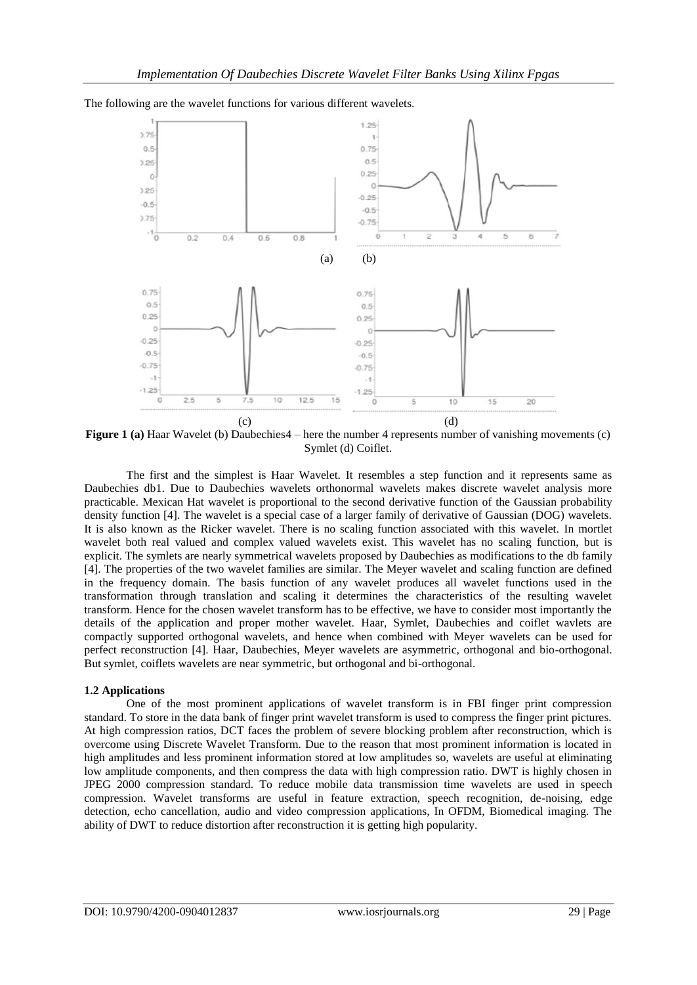1.25  $3.75$  $\mathbf{I}$  $0.5$  $0.75$  $0.5%$  $22$  $0.25$  $\mathfrak{g}$  $\circ$  $1.25$  $-0.25$  $-0.5$  $-0.5$ 3.75  $-0.75$  $-1\frac{1}{0}$  $\overline{O}$  $\overline{2}$  $0.2$  $0.4$  $0.6$  $0.8$ (a) (b)  $0.75$  $0.75$  $0.5$  $0.5$  $0.25$  $0.25$  $\overline{c}$  $\theta$  $-0.25$  $0.25$  $-0.5$  $-0.5$  $-0.75$  $-0.75$ 4  $\mathcal{L}_{\mathcal{A}}$  $-1.25$  $1.25$  $25$ 10  $12.5$  $\theta$ š 7.5 15  $\ddot{\rm o}$  $\overline{\mathbf{s}}$  $10$ 15  $\overline{20}$  $(c)$  (d)

The following are the wavelet functions for various different wavelets.

**Figure 1 (a)** Haar Wavelet (b) Daubechies4 – here the number 4 represents number of vanishing movements (c) Symlet (d) Coiflet.

The first and the simplest is Haar Wavelet. It resembles a step function and it represents same as Daubechies db1. Due to Daubechies wavelets orthonormal wavelets makes discrete wavelet analysis more practicable. Mexican Hat wavelet is proportional to the second derivative function of the Gaussian probability density function [4]. The wavelet is a special case of a larger family of derivative of Gaussian (DOG) wavelets. It is also known as the Ricker wavelet. There is no scaling function associated with this wavelet. In mortlet wavelet both real valued and complex valued wavelets exist. This wavelet has no scaling function, but is explicit. The symlets are nearly symmetrical wavelets proposed by Daubechies as modifications to the db family [4]. The properties of the two wavelet families are similar. The Meyer wavelet and scaling function are defined in the frequency domain. The basis function of any wavelet produces all wavelet functions used in the transformation through translation and scaling it determines the characteristics of the resulting wavelet transform. Hence for the chosen wavelet transform has to be effective, we have to consider most importantly the details of the application and proper mother wavelet. Haar, Symlet, Daubechies and coiflet wavlets are compactly supported orthogonal wavelets, and hence when combined with Meyer wavelets can be used for perfect reconstruction [4]. Haar, Daubechies, Meyer wavelets are asymmetric, orthogonal and bio-orthogonal. But symlet, coiflets wavelets are near symmetric, but orthogonal and bi-orthogonal.

#### **1.2 Applications**

One of the most prominent applications of wavelet transform is in FBI finger print compression standard. To store in the data bank of finger print wavelet transform is used to compress the finger print pictures. At high compression ratios, DCT faces the problem of severe blocking problem after reconstruction, which is overcome using Discrete Wavelet Transform. Due to the reason that most prominent information is located in high amplitudes and less prominent information stored at low amplitudes so, wavelets are useful at eliminating low amplitude components, and then compress the data with high compression ratio. DWT is highly chosen in JPEG 2000 compression standard. To reduce mobile data transmission time wavelets are used in speech compression. Wavelet transforms are useful in feature extraction, speech recognition, de-noising, edge detection, echo cancellation, audio and video compression applications, In OFDM, Biomedical imaging. The ability of DWT to reduce distortion after reconstruction it is getting high popularity.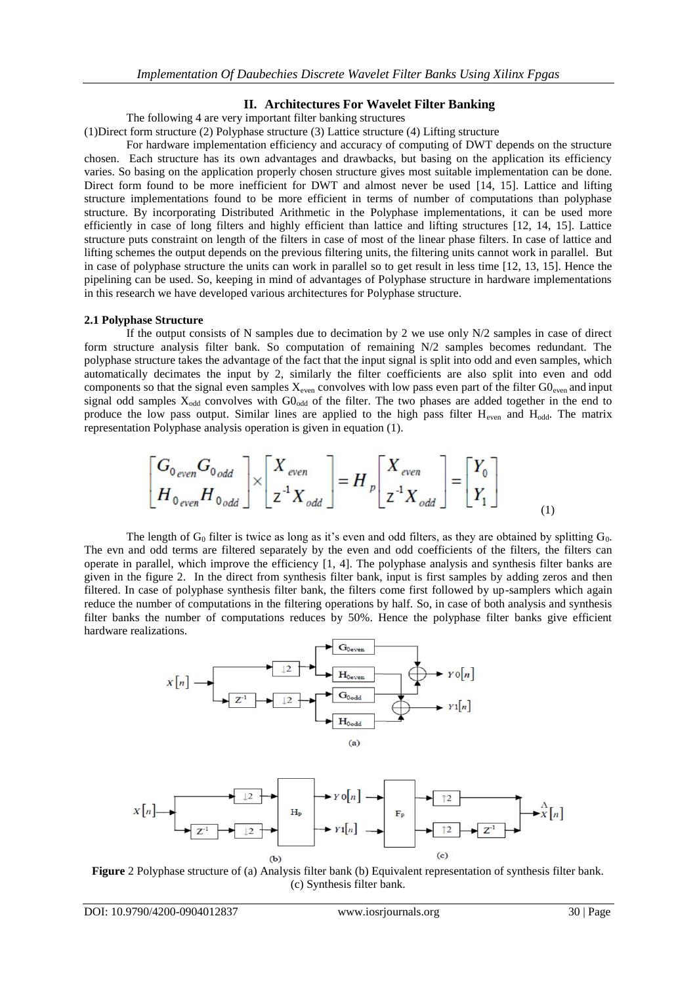## **II. Architectures For Wavelet Filter Banking**

The following 4 are very important filter banking structures

(1)Direct form structure (2) Polyphase structure (3) Lattice structure (4) Lifting structure

For hardware implementation efficiency and accuracy of computing of DWT depends on the structure chosen. Each structure has its own advantages and drawbacks, but basing on the application its efficiency varies. So basing on the application properly chosen structure gives most suitable implementation can be done. Direct form found to be more inefficient for DWT and almost never be used [14, 15]. Lattice and lifting structure implementations found to be more efficient in terms of number of computations than polyphase structure. By incorporating Distributed Arithmetic in the Polyphase implementations, it can be used more efficiently in case of long filters and highly efficient than lattice and lifting structures [12, 14, 15]. Lattice structure puts constraint on length of the filters in case of most of the linear phase filters. In case of lattice and lifting schemes the output depends on the previous filtering units, the filtering units cannot work in parallel. But in case of polyphase structure the units can work in parallel so to get result in less time [12, 13, 15]. Hence the pipelining can be used. So, keeping in mind of advantages of Polyphase structure in hardware implementations in this research we have developed various architectures for Polyphase structure.

#### **2.1 Polyphase Structure**

If the output consists of N samples due to decimation by 2 we use only N/2 samples in case of direct form structure analysis filter bank. So computation of remaining N/2 samples becomes redundant. The polyphase structure takes the advantage of the fact that the input signal is split into odd and even samples, which automatically decimates the input by 2, similarly the filter coefficients are also split into even and odd components so that the signal even samples  $X_{even}$  convolves with low pass even part of the filter  $G0_{even}$  and input signal odd samples  $X_{odd}$  convolves with  $GO_{odd}$  of the filter. The two phases are added together in the end to produce the low pass output. Similar lines are applied to the high pass filter H<sub>even</sub> and H<sub>odd</sub>. The matrix representation Polyphase analysis operation is given in equation (1).

$$
\begin{bmatrix} G_{0\,even} G_{0\,odd} \\ H_{0\,even} H_{0\,odd} \end{bmatrix} \times \begin{bmatrix} X_{\,even} \\ Z^{-1} X_{\,odd} \end{bmatrix} = H_p \begin{bmatrix} X_{\,even} \\ Z^{-1} X_{\,odd} \end{bmatrix} = \begin{bmatrix} Y_0 \\ Y_1 \end{bmatrix}
$$
 (1)

The length of  $G_0$  filter is twice as long as it's even and odd filters, as they are obtained by splitting  $G_0$ . The evn and odd terms are filtered separately by the even and odd coefficients of the filters, the filters can operate in parallel, which improve the efficiency [1, 4]. The polyphase analysis and synthesis filter banks are given in the figure 2. In the direct from synthesis filter bank, input is first samples by adding zeros and then filtered. In case of polyphase synthesis filter bank, the filters come first followed by up-samplers which again reduce the number of computations in the filtering operations by half. So, in case of both analysis and synthesis filter banks the number of computations reduces by 50%. Hence the polyphase filter banks give efficient hardware realizations.



**Figure** 2 Polyphase structure of (a) Analysis filter bank (b) Equivalent representation of synthesis filter bank. (c) Synthesis filter bank.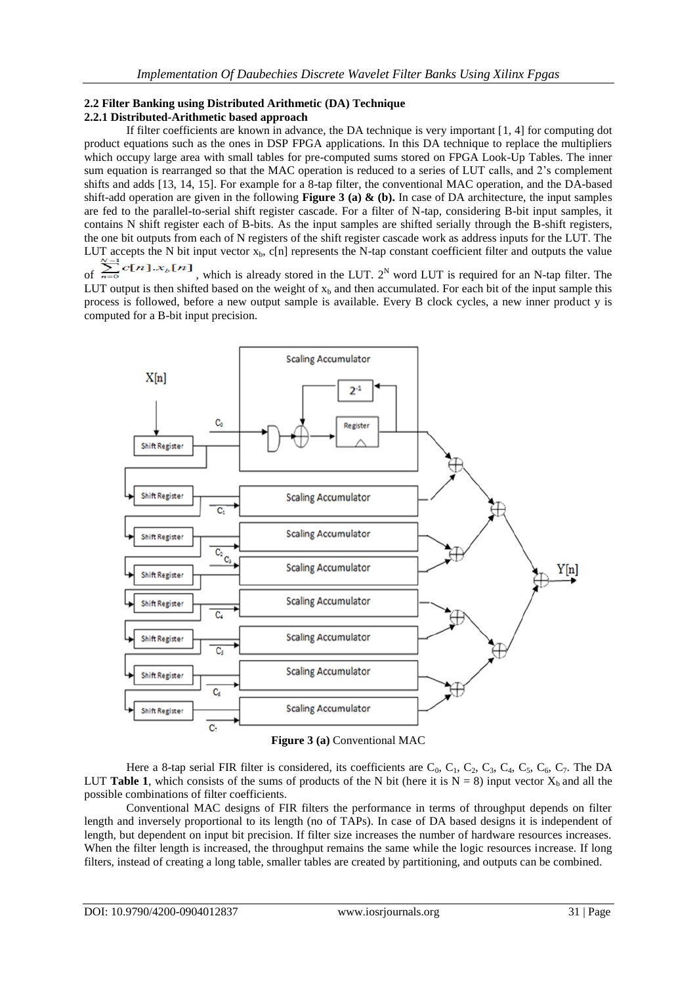#### **2.2 Filter Banking using Distributed Arithmetic (DA) Technique 2.2.1 Distributed-Arithmetic based approach**

If filter coefficients are known in advance, the DA technique is very important [1, 4] for computing dot product equations such as the ones in DSP FPGA applications. In this DA technique to replace the multipliers which occupy large area with small tables for pre-computed sums stored on FPGA Look-Up Tables. The inner sum equation is rearranged so that the MAC operation is reduced to a series of LUT calls, and 2's complement shifts and adds [13, 14, 15]. For example for a 8-tap filter, the conventional MAC operation, and the DA-based shift-add operation are given in the following **Figure 3 (a) & (b).** In case of DA architecture, the input samples are fed to the parallel-to-serial shift register cascade. For a filter of N-tap, considering B-bit input samples, it contains N shift register each of B-bits. As the input samples are shifted serially through the B-shift registers, the one bit outputs from each of N registers of the shift register cascade work as address inputs for the LUT. The LUT accepts the N bit input vector  $x_b$ , c[n] represents the N-tap constant coefficient filter and outputs the value

of  $\sum_{n=0}^{\infty}$   $\binom{n}{k}$ , which is already stored in the LUT.  $2^N$  word LUT is required for an N-tap filter. The LUT output is then shifted based on the weight of  $x<sub>b</sub>$  and then accumulated. For each bit of the input sample this process is followed, before a new output sample is available. Every B clock cycles, a new inner product y is computed for a B-bit input precision.



**Figure 3 (a)** Conventional MAC

Here a 8-tap serial FIR filter is considered, its coefficients are  $C_0$ ,  $C_1$ ,  $C_2$ ,  $C_3$ ,  $C_4$ ,  $C_5$ ,  $C_6$ ,  $C_7$ . The DA LUT **Table 1**, which consists of the sums of products of the N bit (here it is  $N = 8$ ) input vector  $X<sub>b</sub>$  and all the possible combinations of filter coefficients.

Conventional MAC designs of FIR filters the performance in terms of throughput depends on filter length and inversely proportional to its length (no of TAPs). In case of DA based designs it is independent of length, but dependent on input bit precision. If filter size increases the number of hardware resources increases. When the filter length is increased, the throughput remains the same while the logic resources increase. If long filters, instead of creating a long table, smaller tables are created by partitioning, and outputs can be combined.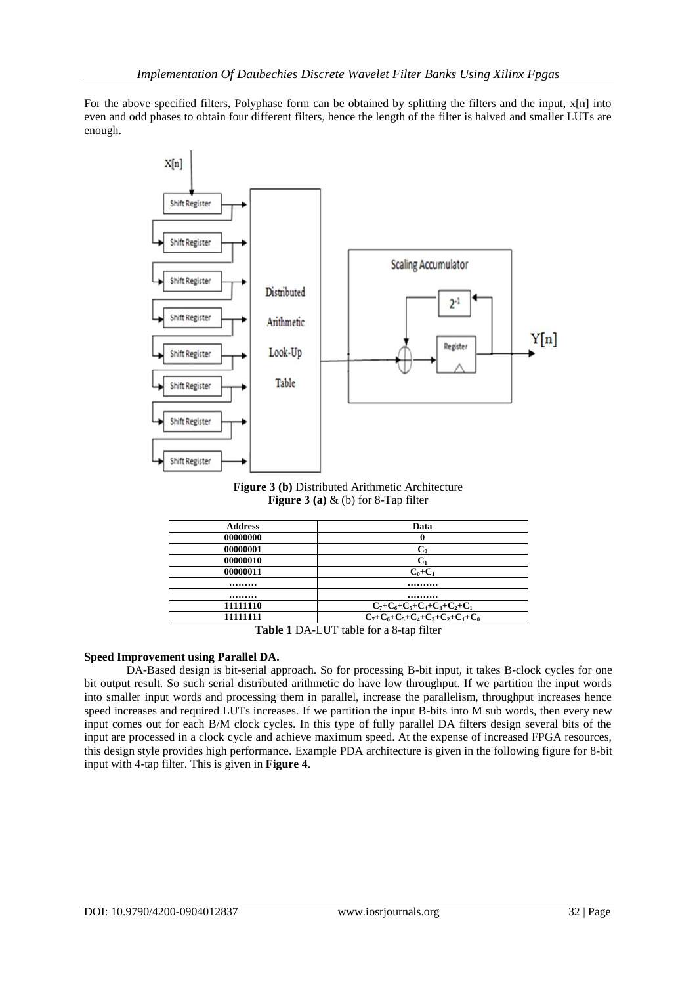For the above specified filters, Polyphase form can be obtained by splitting the filters and the input, x[n] into even and odd phases to obtain four different filters, hence the length of the filter is halved and smaller LUTs are enough.



**Figure 3 (b)** Distributed Arithmetic Architecture **Figure 3 (a)** & (b) for 8-Tap filter

| <b>Address</b> | Data                                           |  |  |  |
|----------------|------------------------------------------------|--|--|--|
| 00000000       | 0                                              |  |  |  |
| 00000001       | $C_0$                                          |  |  |  |
| 00000010       | С.                                             |  |  |  |
| 00000011       | $C_0+C_1$                                      |  |  |  |
|                |                                                |  |  |  |
|                |                                                |  |  |  |
| 11111110       | $C_7+C_6+C_5+C_4+C_3+C_2+C_1$                  |  |  |  |
| 11111111       | $C_7+C_6+C_5+C_4+C_3+C_2+C_1+C_0$              |  |  |  |
|                | $Table 1 NA I IIT table for a 0 to the filter$ |  |  |  |

**Table 1** DA-LUT table for a 8-tap filter

## **Speed Improvement using Parallel DA.**

DA-Based design is bit-serial approach. So for processing B-bit input, it takes B-clock cycles for one bit output result. So such serial distributed arithmetic do have low throughput. If we partition the input words into smaller input words and processing them in parallel, increase the parallelism, throughput increases hence speed increases and required LUTs increases. If we partition the input B-bits into M sub words, then every new input comes out for each B/M clock cycles. In this type of fully parallel DA filters design several bits of the input are processed in a clock cycle and achieve maximum speed. At the expense of increased FPGA resources, this design style provides high performance. Example PDA architecture is given in the following figure for 8-bit input with 4-tap filter. This is given in **Figure 4**.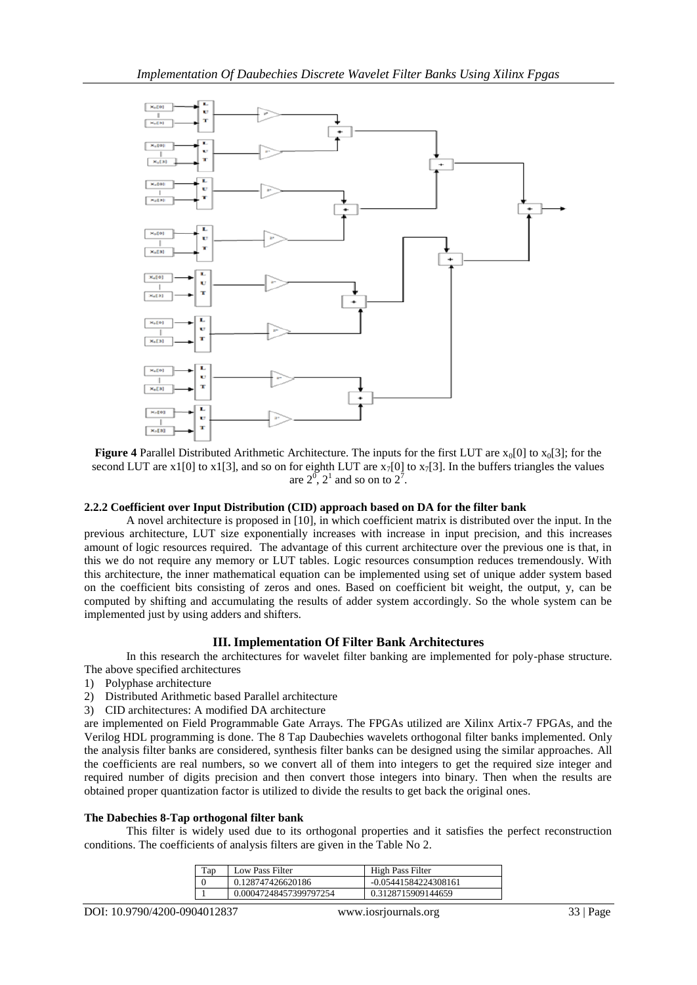

**Figure 4** Parallel Distributed Arithmetic Architecture. The inputs for the first LUT are  $x_0[0]$  to  $x_0[3]$ ; for the second LUT are x1[0] to x1[3], and so on for eighth LUT are  $x_7[0]$  to  $x_7[3]$ . In the buffers triangles the values are  $2^0$ ,  $2^1$  and so on to  $2^7$ .

#### **2.2.2 Coefficient over Input Distribution (CID) approach based on DA for the filter bank**

A novel architecture is proposed in [10], in which coefficient matrix is distributed over the input. In the previous architecture, LUT size exponentially increases with increase in input precision, and this increases amount of logic resources required. The advantage of this current architecture over the previous one is that, in this we do not require any memory or LUT tables. Logic resources consumption reduces tremendously. With this architecture, the inner mathematical equation can be implemented using set of unique adder system based on the coefficient bits consisting of zeros and ones. Based on coefficient bit weight, the output, y, can be computed by shifting and accumulating the results of adder system accordingly. So the whole system can be implemented just by using adders and shifters.

#### **III. Implementation Of Filter Bank Architectures**

In this research the architectures for wavelet filter banking are implemented for poly-phase structure. The above specified architectures

- 1) Polyphase architecture
- 2) Distributed Arithmetic based Parallel architecture
- 3) CID architectures: A modified DA architecture

are implemented on Field Programmable Gate Arrays. The FPGAs utilized are Xilinx Artix-7 FPGAs, and the Verilog HDL programming is done. The 8 Tap Daubechies wavelets orthogonal filter banks implemented. Only the analysis filter banks are considered, synthesis filter banks can be designed using the similar approaches. All the coefficients are real numbers, so we convert all of them into integers to get the required size integer and required number of digits precision and then convert those integers into binary. Then when the results are obtained proper quantization factor is utilized to divide the results to get back the original ones.

#### **The Dabechies 8-Tap orthogonal filter bank**

This filter is widely used due to its orthogonal properties and it satisfies the perfect reconstruction conditions. The coefficients of analysis filters are given in the Table No 2.

| Tap | Low Pass Filter        | High Pass Filter     |
|-----|------------------------|----------------------|
|     | 0.128747426620186      | -0.05441584224308161 |
|     | 0.00047248457399797254 | 0.3128715909144659   |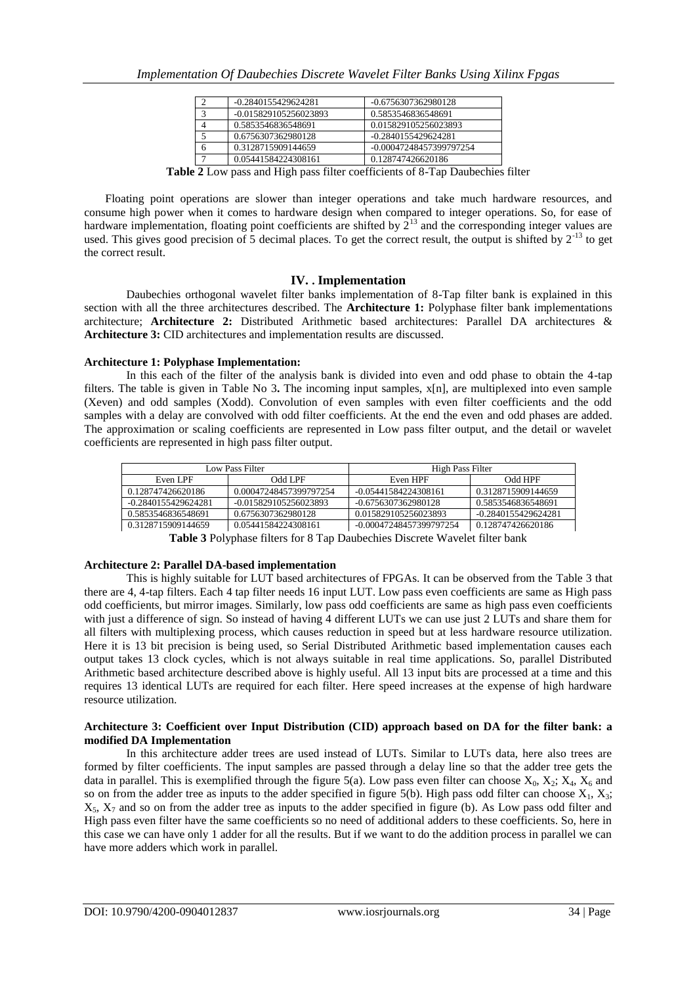| -0.2840155429624281   | -0.6756307362980128     |
|-----------------------|-------------------------|
| -0.015829105256023893 | 0.5853546836548691      |
| 0.5853546836548691    | 0.015829105256023893    |
| 0.6756307362980128    | $-0.2840155429624281$   |
| 0.3128715909144659    | -0.00047248457399797254 |
| 0.05441584224308161   | 0.128747426620186       |
|                       |                         |

**Table 2** Low pass and High pass filter coefficients of 8-Tap Daubechies filter

Floating point operations are slower than integer operations and take much hardware resources, and consume high power when it comes to hardware design when compared to integer operations. So, for ease of hardware implementation, floating point coefficients are shifted by  $2^{13}$  and the corresponding integer values are used. This gives good precision of 5 decimal places. To get the correct result, the output is shifted by  $2^{-13}$  to get the correct result.

## **IV. . Implementation**

Daubechies orthogonal wavelet filter banks implementation of 8-Tap filter bank is explained in this section with all the three architectures described. The **Architecture 1:** Polyphase filter bank implementations architecture; **Architecture 2:** Distributed Arithmetic based architectures: Parallel DA architectures & **Architecture 3:** CID architectures and implementation results are discussed.

#### **Architecture 1: Polyphase Implementation:**

In this each of the filter of the analysis bank is divided into even and odd phase to obtain the 4-tap filters. The table is given in Table No 3**.** The incoming input samples, x[n], are multiplexed into even sample (Xeven) and odd samples (Xodd). Convolution of even samples with even filter coefficients and the odd samples with a delay are convolved with odd filter coefficients. At the end the even and odd phases are added. The approximation or scaling coefficients are represented in Low pass filter output, and the detail or wavelet coefficients are represented in high pass filter output.

| Low Pass Filter                                                                                                                                                                                                                                                                                                                                                      |                        | High Pass Filter        |                       |  |
|----------------------------------------------------------------------------------------------------------------------------------------------------------------------------------------------------------------------------------------------------------------------------------------------------------------------------------------------------------------------|------------------------|-------------------------|-----------------------|--|
| Even LPF                                                                                                                                                                                                                                                                                                                                                             | Odd LPF                | Even HPF                | Odd HPF               |  |
| 0.128747426620186                                                                                                                                                                                                                                                                                                                                                    | 0.00047248457399797254 | $-0.05441584224308161$  | 0.3128715909144659    |  |
| $-0.2840155429624281$                                                                                                                                                                                                                                                                                                                                                | -0.015829105256023893  | -0.6756307362980128     | 0.5853546836548691    |  |
| 0.5853546836548691                                                                                                                                                                                                                                                                                                                                                   | 0.6756307362980128     | 0.015829105256023893    | $-0.2840155429624281$ |  |
| 0.3128715909144659                                                                                                                                                                                                                                                                                                                                                   | 0.05441584224308161    | -0.00047248457399797254 | 0.128747426620186     |  |
| $\mathbf{m}$ is $\mathbf{a}$ $\mathbf{r}$ if $\mathbf{a}$ is $\mathbf{a}$ if $\mathbf{a}$ is $\mathbf{r}$ if $\mathbf{r}$ is $\mathbf{r}$ if $\mathbf{r}$ is $\mathbf{r}$ if $\mathbf{r}$ is $\mathbf{r}$ if $\mathbf{r}$ is $\mathbf{r}$ if $\mathbf{r}$ is $\mathbf{r}$ if $\mathbf{r}$ is $\mathbf{r}$<br>$\mathbf{r}$ and $\mathbf{r}$ are a set of $\mathbf{r}$ |                        |                         |                       |  |

**Table 3** Polyphase filters for 8 Tap Daubechies Discrete Wavelet filter bank

## **Architecture 2: Parallel DA-based implementation**

This is highly suitable for LUT based architectures of FPGAs. It can be observed from the Table 3 that there are 4, 4-tap filters. Each 4 tap filter needs 16 input LUT. Low pass even coefficients are same as High pass odd coefficients, but mirror images. Similarly, low pass odd coefficients are same as high pass even coefficients with just a difference of sign. So instead of having 4 different LUTs we can use just 2 LUTs and share them for all filters with multiplexing process, which causes reduction in speed but at less hardware resource utilization. Here it is 13 bit precision is being used, so Serial Distributed Arithmetic based implementation causes each output takes 13 clock cycles, which is not always suitable in real time applications. So, parallel Distributed Arithmetic based architecture described above is highly useful. All 13 input bits are processed at a time and this requires 13 identical LUTs are required for each filter. Here speed increases at the expense of high hardware resource utilization.

#### **Architecture 3: Coefficient over Input Distribution (CID) approach based on DA for the filter bank: a modified DA Implementation**

In this architecture adder trees are used instead of LUTs. Similar to LUTs data, here also trees are formed by filter coefficients. The input samples are passed through a delay line so that the adder tree gets the data in parallel. This is exemplified through the figure 5(a). Low pass even filter can choose  $X_0$ ,  $X_2$ ;  $X_4$ ,  $X_6$  and so on from the adder tree as inputs to the adder specified in figure 5(b). High pass odd filter can choose  $X_1, X_3$ ;  $X_5$ ,  $X_7$  and so on from the adder tree as inputs to the adder specified in figure (b). As Low pass odd filter and High pass even filter have the same coefficients so no need of additional adders to these coefficients. So, here in this case we can have only 1 adder for all the results. But if we want to do the addition process in parallel we can have more adders which work in parallel.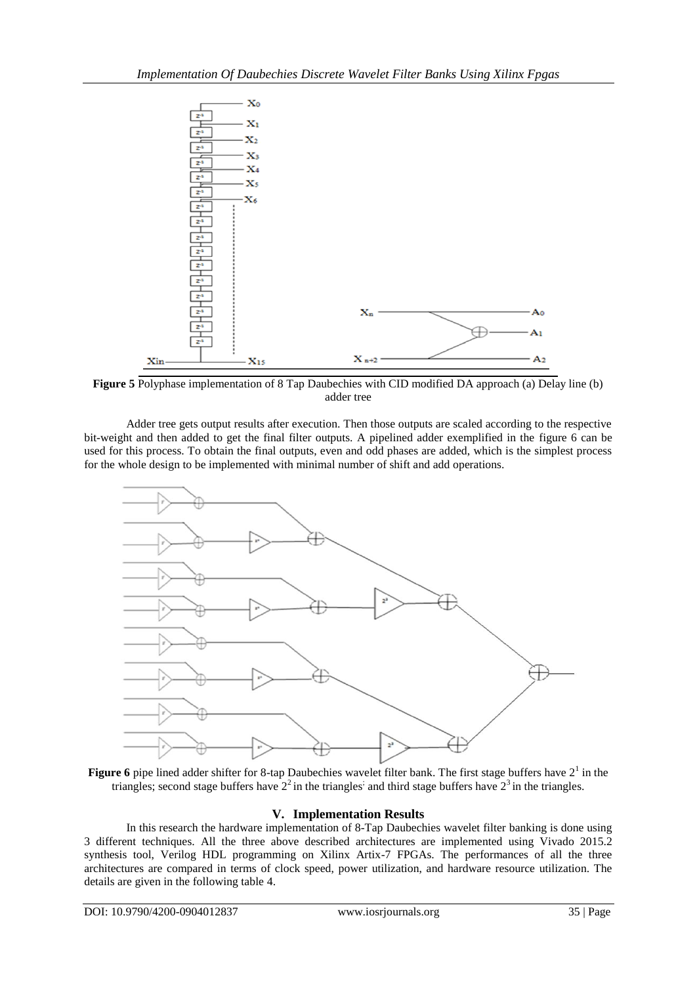

**Figure 5** Polyphase implementation of 8 Tap Daubechies with CID modified DA approach (a) Delay line (b) adder tree

Adder tree gets output results after execution. Then those outputs are scaled according to the respective bit-weight and then added to get the final filter outputs. A pipelined adder exemplified in the figure 6 can be used for this process. To obtain the final outputs, even and odd phases are added, which is the simplest process for the whole design to be implemented with minimal number of shift and add operations.



**Figure 6** pipe lined adder shifter for 8-tap Daubechies wavelet filter bank. The first stage buffers have  $2<sup>1</sup>$  in the triangles; second stage buffers have  $2<sup>2</sup>$  in the triangles; and third stage buffers have  $2<sup>3</sup>$  in the triangles.

## **V. Implementation Results**

In this research the hardware implementation of 8-Tap Daubechies wavelet filter banking is done using 3 different techniques. All the three above described architectures are implemented using Vivado 2015.2 synthesis tool, Verilog HDL programming on Xilinx Artix-7 FPGAs. The performances of all the three architectures are compared in terms of clock speed, power utilization, and hardware resource utilization. The details are given in the following table 4.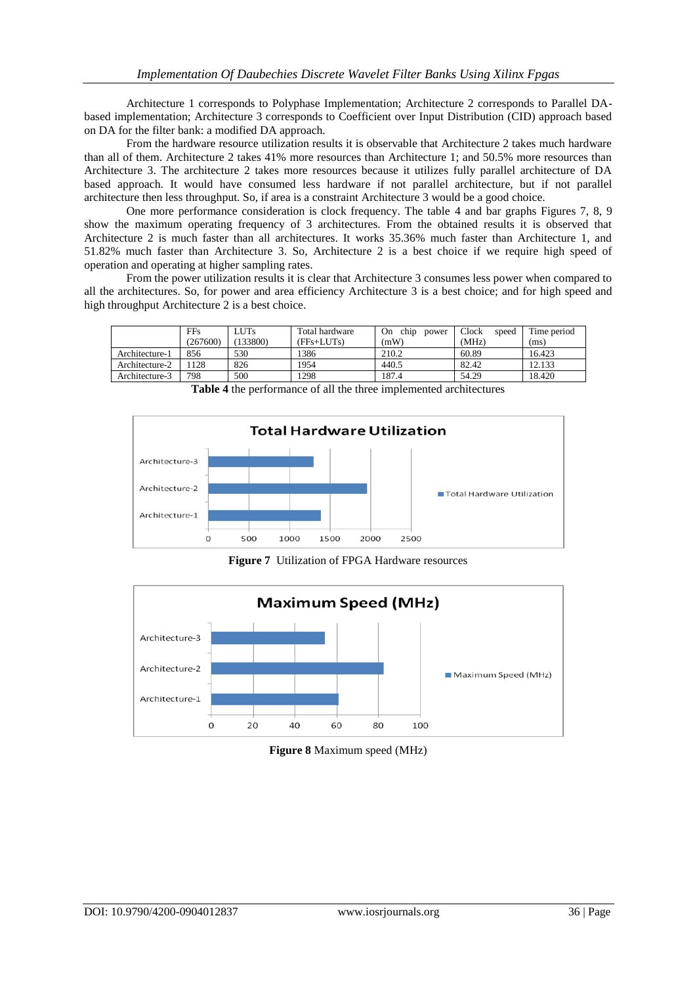Architecture 1 corresponds to Polyphase Implementation; Architecture 2 corresponds to Parallel DAbased implementation; Architecture 3 corresponds to Coefficient over Input Distribution (CID) approach based on DA for the filter bank: a modified DA approach.

From the hardware resource utilization results it is observable that Architecture 2 takes much hardware than all of them. Architecture 2 takes 41% more resources than Architecture 1; and 50.5% more resources than Architecture 3. The architecture 2 takes more resources because it utilizes fully parallel architecture of DA based approach. It would have consumed less hardware if not parallel architecture, but if not parallel architecture then less throughput. So, if area is a constraint Architecture 3 would be a good choice.

One more performance consideration is clock frequency. The table 4 and bar graphs Figures 7, 8, 9 show the maximum operating frequency of 3 architectures. From the obtained results it is observed that Architecture 2 is much faster than all architectures. It works 35.36% much faster than Architecture 1, and 51.82% much faster than Architecture 3. So, Architecture 2 is a best choice if we require high speed of operation and operating at higher sampling rates.

From the power utilization results it is clear that Architecture 3 consumes less power when compared to all the architectures. So, for power and area efficiency Architecture 3 is a best choice; and for high speed and high throughput Architecture 2 is a best choice.

|                | <b>FFs</b> | <b>LUTs</b> | Total hardware | chip<br>On<br>power | Clock<br>speed | Time period |
|----------------|------------|-------------|----------------|---------------------|----------------|-------------|
|                | (267600)   | 133800)     | (FFs+LUTs)     | (mW)                | (MHz)          | (ms)        |
| Architecture-1 | 856        | 530         | 1386           | 210.2               | 60.89          | 16.423      |
| Architecture-2 | 128        | 826         | 1954           | 440.5               | 82.42          | 12.133      |
| Architecture-3 | 798        | 500         | 1298           | 187.4               | 54.29          | 18.420      |

**Table 4** the performance of all the three implemented architectures



**Figure 7** Utilization of FPGA Hardware resources



**Figure 8** Maximum speed (MHz)